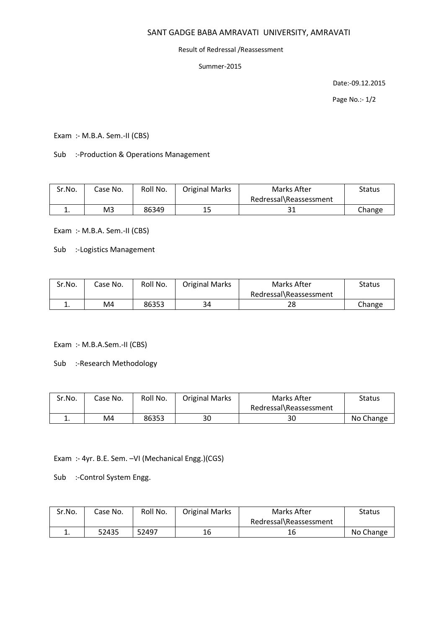## SANT GADGE BABA AMRAVATI UNIVERSITY, AMRAVATI

## Result of Redressal /Reassessment

Summer-2015

Date:-09.12.2015

Page No.:- 1/2

Exam :- M.B.A. Sem.-II (CBS)

Sub :-Production & Operations Management

| Sr.No.   | Case No. | Roll No. | <b>Original Marks</b> | Marks After            | Status |
|----------|----------|----------|-----------------------|------------------------|--------|
|          |          |          |                       | Redressal\Reassessment |        |
| <b>.</b> | M3       | 86349    | 15                    |                        | Change |

Exam :- M.B.A. Sem.-II (CBS)

Sub :-Logistics Management

| Sr.No. | Case No. | Roll No. | <b>Original Marks</b> | Marks After            | <b>Status</b> |
|--------|----------|----------|-----------------------|------------------------|---------------|
|        |          |          |                       | Redressal\Reassessment |               |
| ᆠ.     | M4       | 86353    | 34                    | 28                     | Change        |

Exam :- M.B.A.Sem.-II (CBS)

Sub :-Research Methodology

| Sr.No. | Case No. | Roll No. | <b>Original Marks</b> | Marks After            | Status    |
|--------|----------|----------|-----------------------|------------------------|-----------|
|        |          |          |                       | Redressal\Reassessment |           |
|        | M4       | 86353    | 30                    | 30                     | No Change |

Exam :- 4yr. B.E. Sem. –VI (Mechanical Engg.)(CGS)

Sub :-Control System Engg.

| Sr.No. | Case No. | Roll No. | <b>Original Marks</b> | Marks After            | Status    |
|--------|----------|----------|-----------------------|------------------------|-----------|
|        |          |          |                       | Redressal\Reassessment |           |
| ᅩ.     | 52435    | 52497    | 16                    | 16                     | No Change |